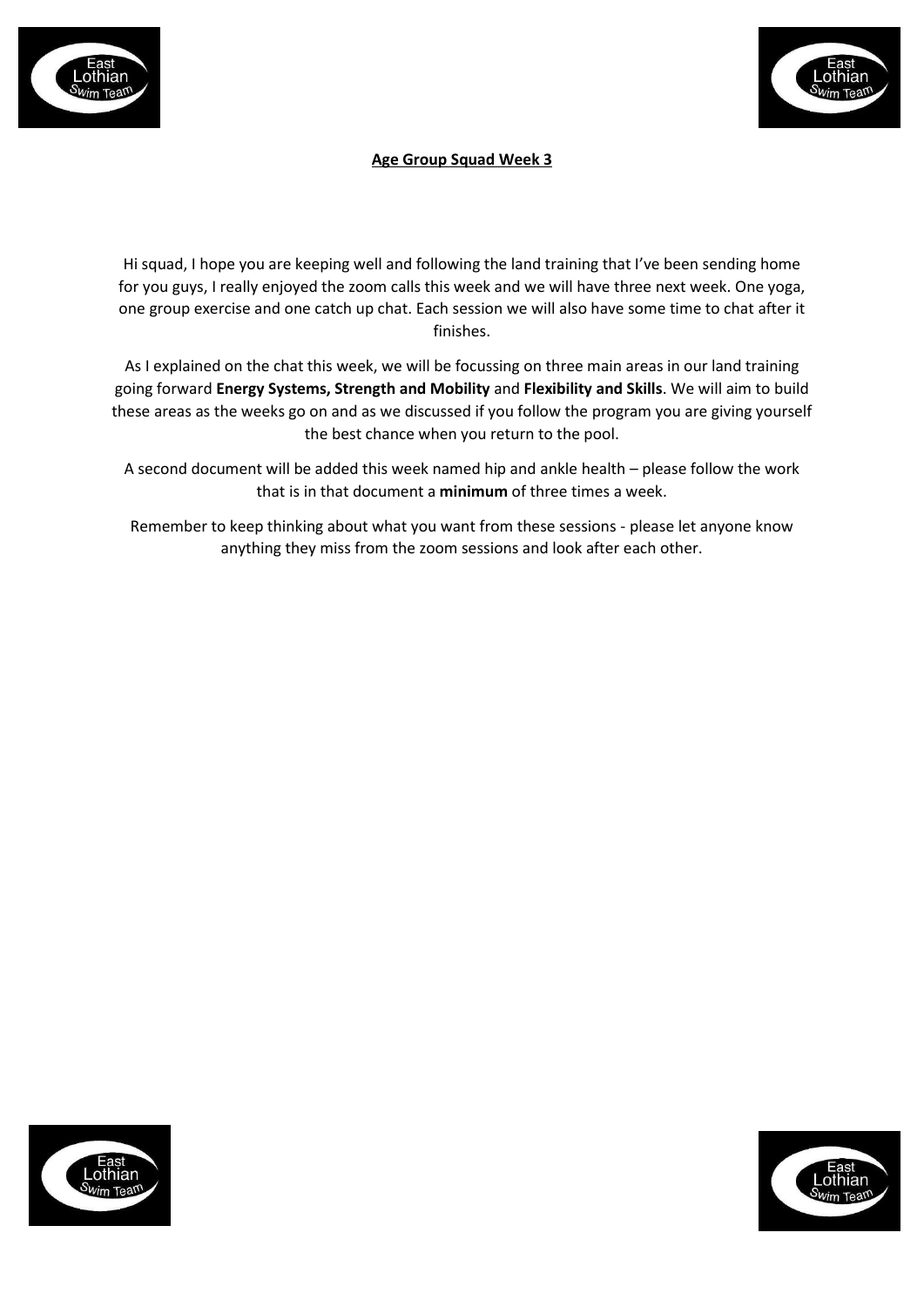



## **Age Group Squad Week 3**

Hi squad, I hope you are keeping well and following the land training that I've been sending home for you guys, I really enjoyed the zoom calls this week and we will have three next week. One yoga, one group exercise and one catch up chat. Each session we will also have some time to chat after it finishes.

As I explained on the chat this week, we will be focussing on three main areas in our land training going forward **Energy Systems, Strength and Mobility** and **Flexibility and Skills**. We will aim to build these areas as the weeks go on and as we discussed if you follow the program you are giving yourself the best chance when you return to the pool.

A second document will be added this week named hip and ankle health – please follow the work that is in that document a **minimum** of three times a week.

Remember to keep thinking about what you want from these sessions - please let anyone know anything they miss from the zoom sessions and look after each other.



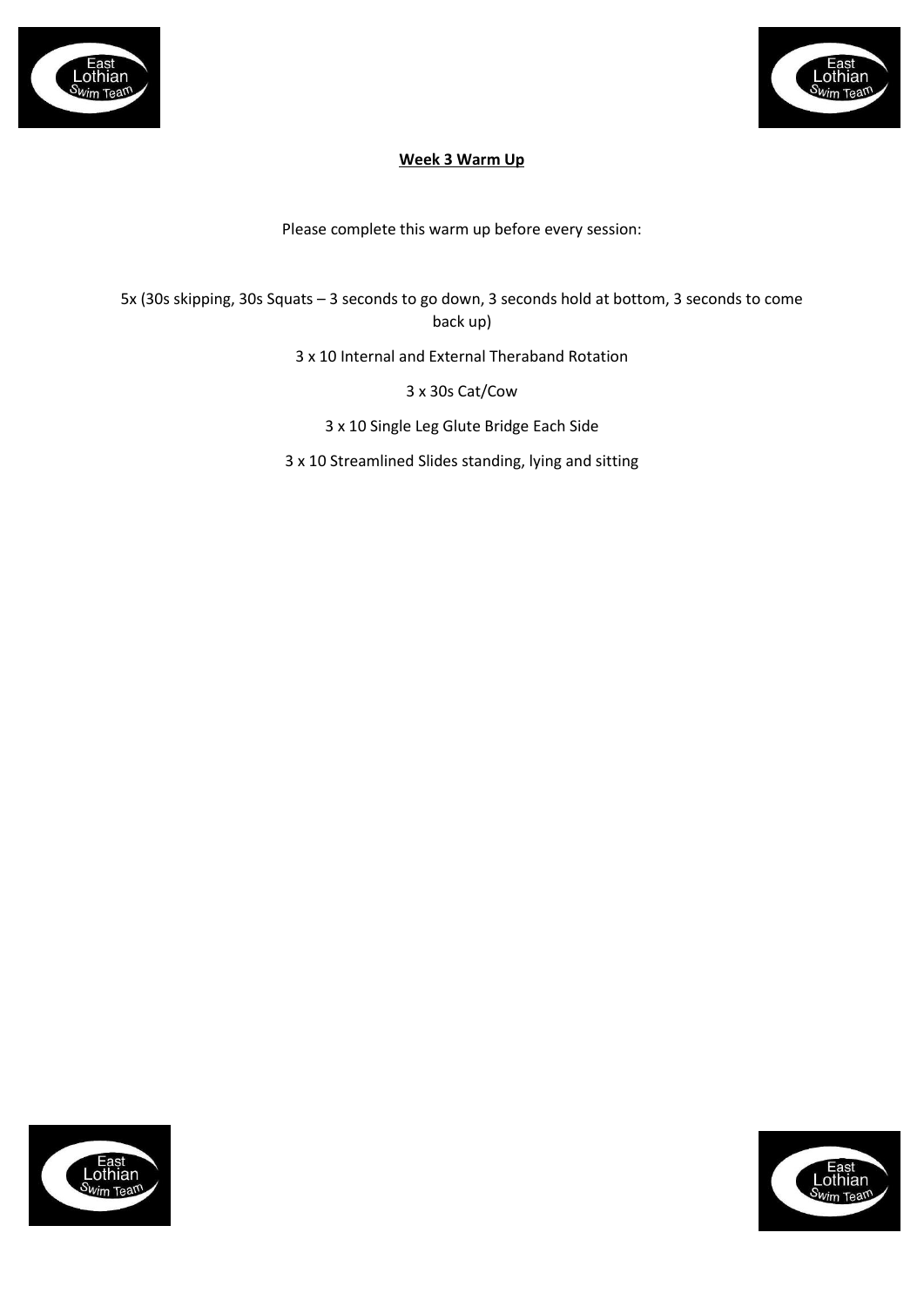



# **Week 3 Warm Up**

Please complete this warm up before every session:

5x (30s skipping, 30s Squats – 3 seconds to go down, 3 seconds hold at bottom, 3 seconds to come back up)

3 x 10 Internal and External Theraband Rotation

3 x 30s Cat/Cow

3 x 10 Single Leg Glute Bridge Each Side

3 x 10 Streamlined Slides standing, lying and sitting



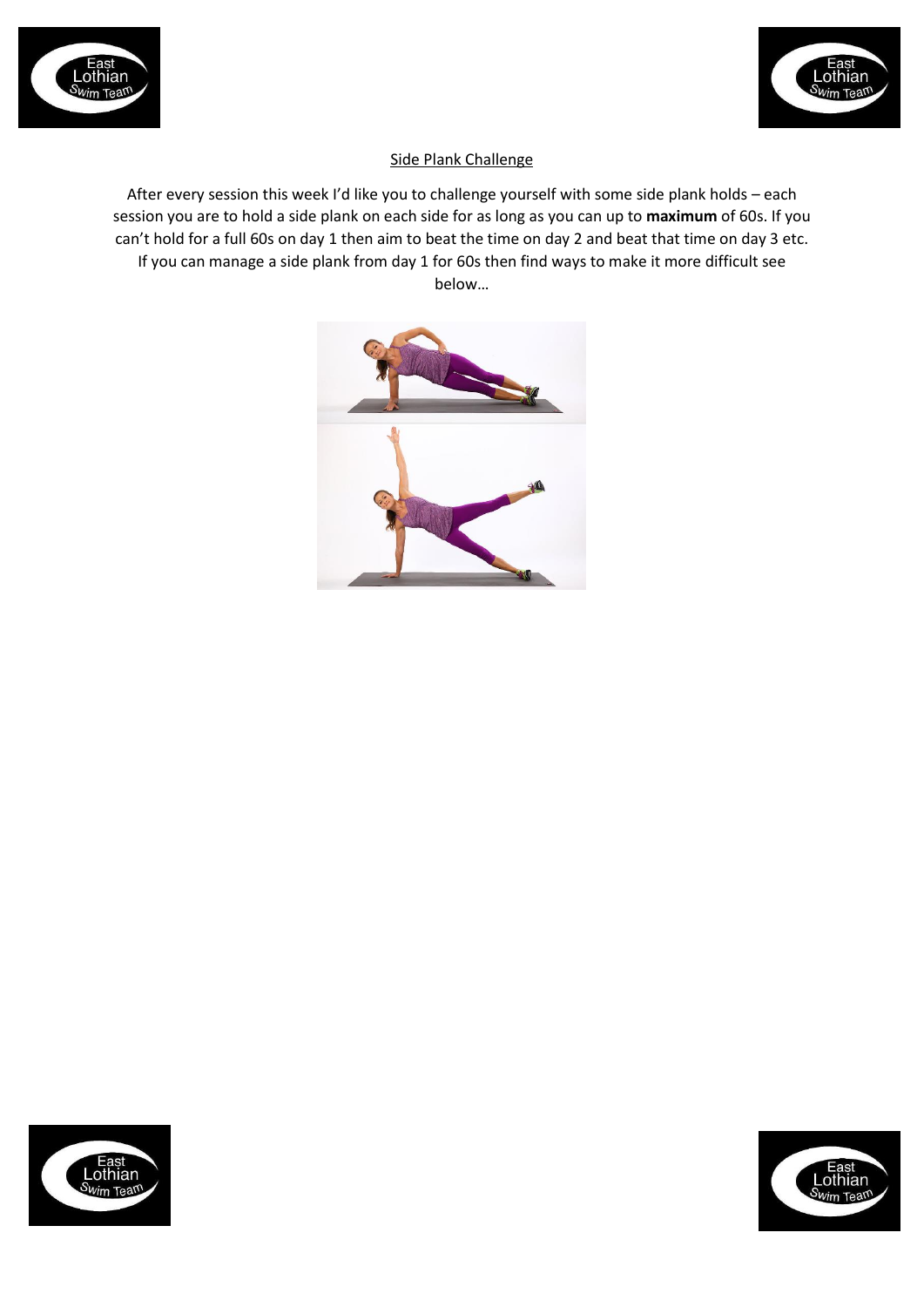



## Side Plank Challenge

After every session this week I'd like you to challenge yourself with some side plank holds – each session you are to hold a side plank on each side for as long as you can up to **maximum** of 60s. If you can't hold for a full 60s on day 1 then aim to beat the time on day 2 and beat that time on day 3 etc. If you can manage a side plank from day 1 for 60s then find ways to make it more difficult see below…





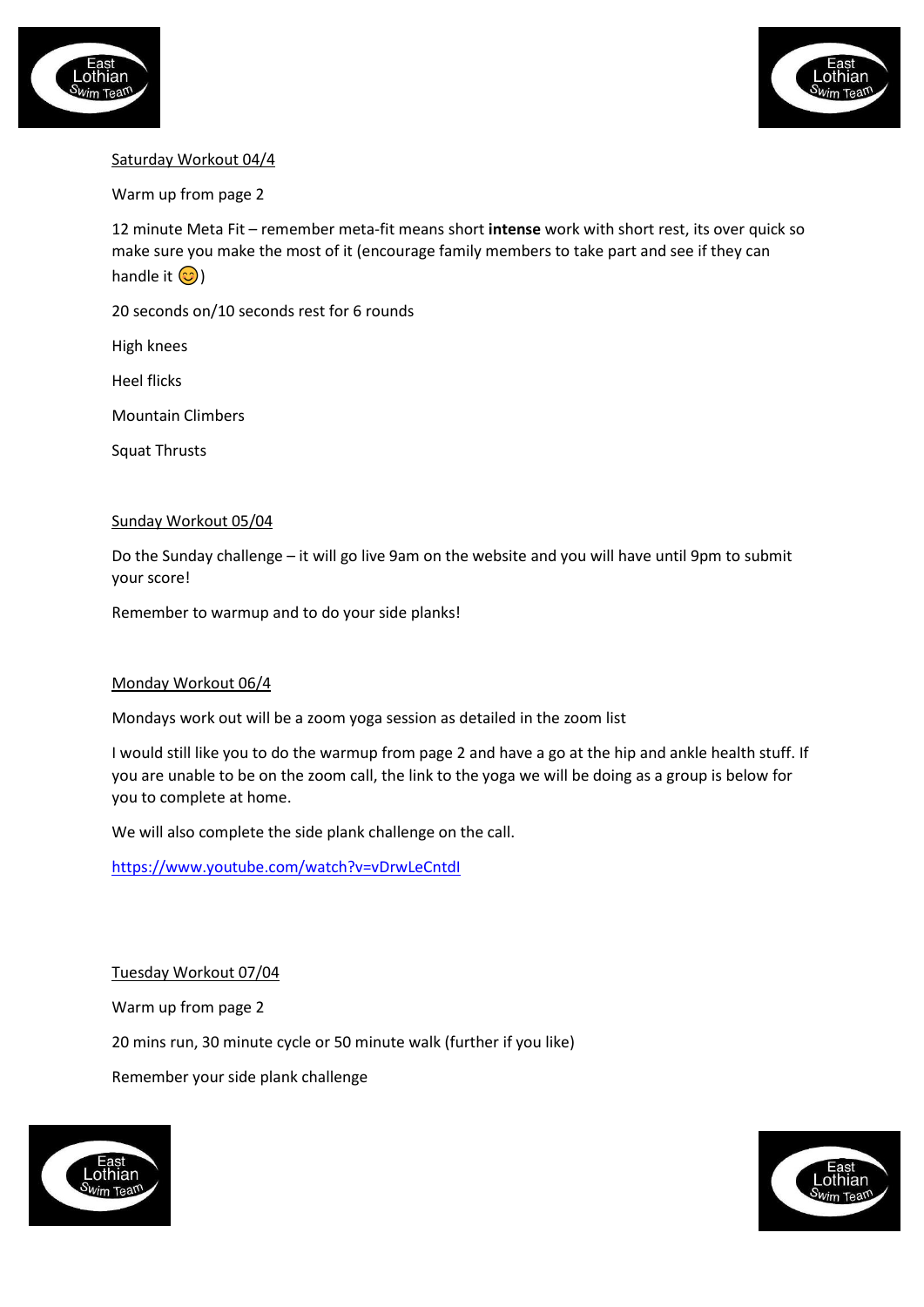



## Saturday Workout 04/4

Warm up from page 2

12 minute Meta Fit – remember meta-fit means short **intense** work with short rest, its over quick so make sure you make the most of it (encourage family members to take part and see if they can handle it  $\circled{c}$ )

20 seconds on/10 seconds rest for 6 rounds

High knees

Heel flicks

Mountain Climbers

Squat Thrusts

#### Sunday Workout 05/04

Do the Sunday challenge – it will go live 9am on the website and you will have until 9pm to submit your score!

Remember to warmup and to do your side planks!

### Monday Workout 06/4

Mondays work out will be a zoom yoga session as detailed in the zoom list

I would still like you to do the warmup from page 2 and have a go at the hip and ankle health stuff. If you are unable to be on the zoom call, the link to the yoga we will be doing as a group is below for you to complete at home.

We will also complete the side plank challenge on the call.

<https://www.youtube.com/watch?v=vDrwLeCntdI>

Tuesday Workout 07/04

Warm up from page 2

20 mins run, 30 minute cycle or 50 minute walk (further if you like)

Remember your side plank challenge